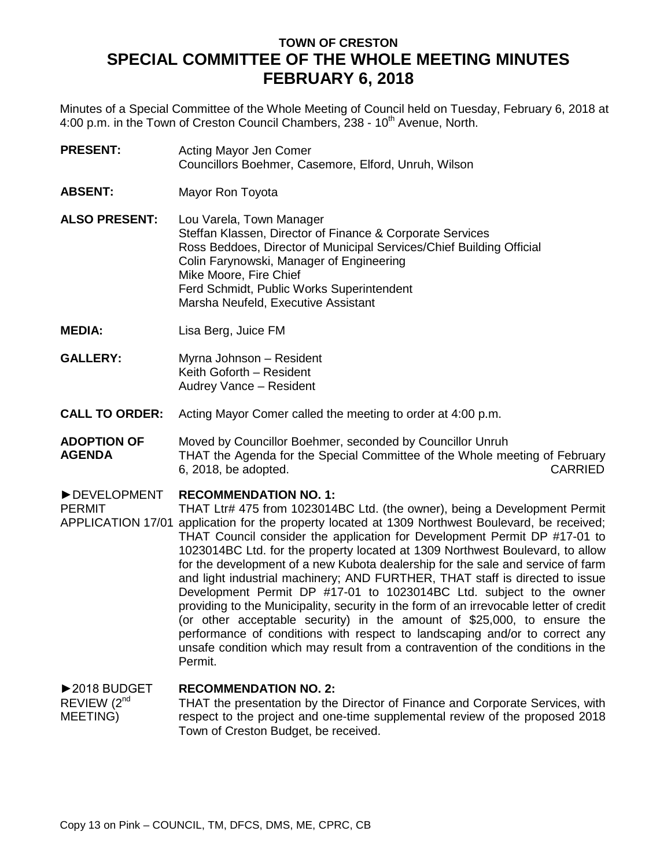# **TOWN OF CRESTON SPECIAL COMMITTEE OF THE WHOLE MEETING MINUTES FEBRUARY 6, 2018**

Minutes of a Special Committee of the Whole Meeting of Council held on Tuesday, February 6, 2018 at 4:00 p.m. in the Town of Creston Council Chambers, 238 - 10<sup>th</sup> Avenue, North.

**PRESENT:** Acting Mayor Jen Comer Councillors Boehmer, Casemore, Elford, Unruh, Wilson

- **ABSENT:** Mayor Ron Toyota
- **ALSO PRESENT:** Lou Varela, Town Manager Steffan Klassen, Director of Finance & Corporate Services Ross Beddoes, Director of Municipal Services/Chief Building Official Colin Farynowski, Manager of Engineering Mike Moore, Fire Chief Ferd Schmidt, Public Works Superintendent Marsha Neufeld, Executive Assistant
- **MEDIA:** Lisa Berg, Juice FM
- **GALLERY:** Myrna Johnson – Resident Keith Goforth – Resident Audrey Vance – Resident
- **CALL TO ORDER:** Acting Mayor Comer called the meeting to order at 4:00 p.m.
- **ADOPTION OF AGENDA** Moved by Councillor Boehmer, seconded by Councillor Unruh THAT the Agenda for the Special Committee of the Whole meeting of February 6, 2018, be adopted. CARRIED

#### ►DEVELOPMENT **RECOMMENDATION NO. 1:**

PERMIT APPLICATION 17/01 application for the property located at 1309 Northwest Boulevard, be received; THAT Ltr# 475 from 1023014BC Ltd. (the owner), being a Development Permit THAT Council consider the application for Development Permit DP #17-01 to 1023014BC Ltd. for the property located at 1309 Northwest Boulevard, to allow for the development of a new Kubota dealership for the sale and service of farm and light industrial machinery; AND FURTHER, THAT staff is directed to issue Development Permit DP #17-01 to 1023014BC Ltd. subject to the owner providing to the Municipality, security in the form of an irrevocable letter of credit (or other acceptable security) in the amount of \$25,000, to ensure the performance of conditions with respect to landscaping and/or to correct any unsafe condition which may result from a contravention of the conditions in the Permit.

### ►2018 BUDGET REVIEW (2<sup>nd</sup>) MEETING) **RECOMMENDATION NO. 2:** THAT the presentation by the Director of Finance and Corporate Services, with respect to the project and one-time supplemental review of the proposed 2018 Town of Creston Budget, be received.